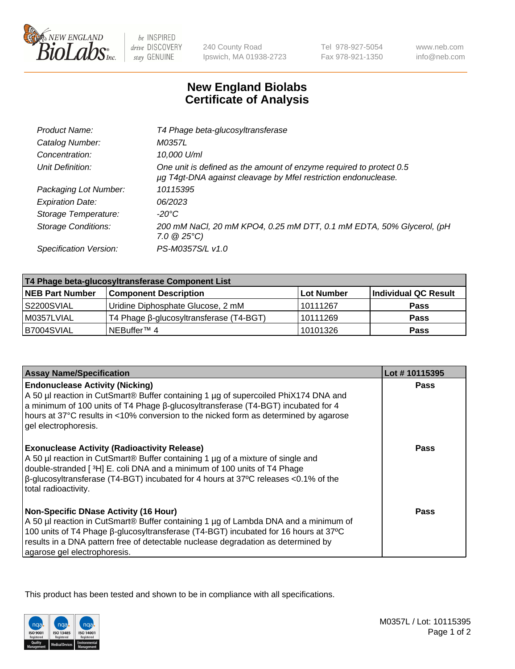

 $be$  INSPIRED drive DISCOVERY stay GENUINE

240 County Road Ipswich, MA 01938-2723 Tel 978-927-5054 Fax 978-921-1350 www.neb.com info@neb.com

## **New England Biolabs Certificate of Analysis**

| T4 Phage beta-glucosyltransferase                                                                                                     |
|---------------------------------------------------------------------------------------------------------------------------------------|
| M0357L                                                                                                                                |
| 10,000 U/ml                                                                                                                           |
| One unit is defined as the amount of enzyme required to protect 0.5<br>µg T4gt-DNA against cleavage by Mfel restriction endonuclease. |
| 10115395                                                                                                                              |
| 06/2023                                                                                                                               |
| -20°C                                                                                                                                 |
| 200 mM NaCl, 20 mM KPO4, 0.25 mM DTT, 0.1 mM EDTA, 50% Glycerol, (pH<br>$7.0 \ @ 25^{\circ}C$                                         |
| PS-M0357S/L v1.0                                                                                                                      |
|                                                                                                                                       |

| T4 Phage beta-glucosyltransferase Component List |                                         |                   |                      |  |
|--------------------------------------------------|-----------------------------------------|-------------------|----------------------|--|
| <b>NEB Part Number</b>                           | <b>Component Description</b>            | <b>Lot Number</b> | Individual QC Result |  |
| S2200SVIAL                                       | Uridine Diphosphate Glucose, 2 mM       | 10111267          | <b>Pass</b>          |  |
| M0357LVIAL                                       | T4 Phage β-glucosyltransferase (T4-BGT) | 10111269          | <b>Pass</b>          |  |
| B7004SVIAL                                       | INEBuffer™ 4                            | 10101326          | Pass                 |  |

| <b>Assay Name/Specification</b>                                                                                                                                                                                                                                                                                                                     | Lot #10115395 |
|-----------------------------------------------------------------------------------------------------------------------------------------------------------------------------------------------------------------------------------------------------------------------------------------------------------------------------------------------------|---------------|
| <b>Endonuclease Activity (Nicking)</b><br>A 50 µl reaction in CutSmart® Buffer containing 1 µg of supercoiled PhiX174 DNA and<br>a minimum of 100 units of T4 Phage β-glucosyltransferase (T4-BGT) incubated for 4<br>hours at 37°C results in <10% conversion to the nicked form as determined by agarose<br>gel electrophoresis.                  | <b>Pass</b>   |
| <b>Exonuclease Activity (Radioactivity Release)</b><br>A 50 µl reaction in CutSmart® Buffer containing 1 µg of a mixture of single and<br>double-stranded [ <sup>3</sup> H] E. coli DNA and a minimum of 100 units of T4 Phage<br>$\beta$ -glucosyltransferase (T4-BGT) incubated for 4 hours at 37°C releases <0.1% of the<br>total radioactivity. | Pass          |
| <b>Non-Specific DNase Activity (16 Hour)</b><br>A 50 µl reaction in CutSmart® Buffer containing 1 µg of Lambda DNA and a minimum of<br>100 units of T4 Phage β-glucosyltransferase (T4-BGT) incubated for 16 hours at 37°C<br>results in a DNA pattern free of detectable nuclease degradation as determined by<br>agarose gel electrophoresis.     | Pass          |

This product has been tested and shown to be in compliance with all specifications.